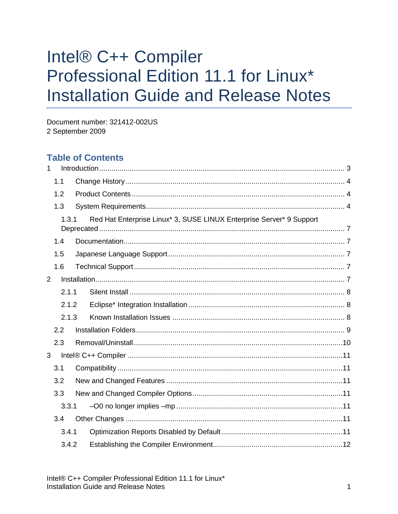# Intel® C++ Compiler Professional Edition 11.1 for Linux\* **Installation Guide and Release Notes**

Document number: 321412-002US 2 September 2009

# **Table of Contents**

| 1 |       |  |                                                                      |
|---|-------|--|----------------------------------------------------------------------|
|   | 1.1   |  |                                                                      |
|   | 1.2   |  |                                                                      |
|   | 1.3   |  |                                                                      |
|   | 1.3.1 |  | Red Hat Enterprise Linux* 3, SUSE LINUX Enterprise Server* 9 Support |
|   | 1.4   |  |                                                                      |
|   | 1.5   |  |                                                                      |
|   | 1.6   |  |                                                                      |
| 2 |       |  |                                                                      |
|   | 2.1.1 |  |                                                                      |
|   | 2.1.2 |  |                                                                      |
|   | 2.1.3 |  |                                                                      |
|   | 2.2   |  |                                                                      |
|   | 2.3   |  |                                                                      |
| 3 |       |  |                                                                      |
|   | 3.1   |  |                                                                      |
|   | 3.2   |  |                                                                      |
|   | 3.3   |  |                                                                      |
|   | 3.3.1 |  |                                                                      |
|   | 3.4   |  |                                                                      |
|   | 3.4.1 |  |                                                                      |
|   | 3.4.2 |  |                                                                      |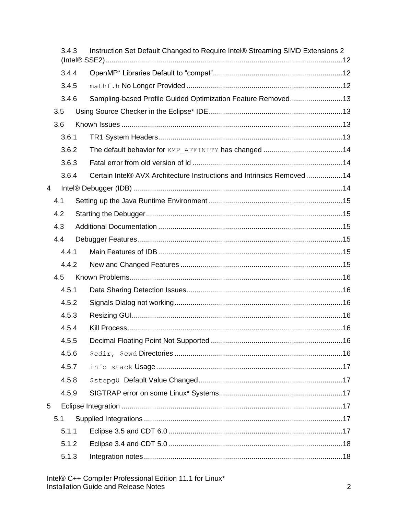|                |                | 3.4.3 | Instruction Set Default Changed to Require Intel® Streaming SIMD Extensions 2 |  |
|----------------|----------------|-------|-------------------------------------------------------------------------------|--|
|                |                | 3.4.4 |                                                                               |  |
|                | 3.4.5<br>3.4.6 |       |                                                                               |  |
|                |                |       | Sampling-based Profile Guided Optimization Feature Removed13                  |  |
|                | 3.5            |       |                                                                               |  |
|                | 3.6            |       |                                                                               |  |
|                |                | 3.6.1 |                                                                               |  |
| 3.6.2          |                |       |                                                                               |  |
|                |                | 3.6.3 |                                                                               |  |
|                |                | 3.6.4 | Certain Intel® AVX Architecture Instructions and Intrinsics Removed14         |  |
| $\overline{4}$ |                |       |                                                                               |  |
|                | 4.1            |       |                                                                               |  |
|                | 4.2            |       |                                                                               |  |
|                | 4.3            |       |                                                                               |  |
|                | 4.4            |       |                                                                               |  |
|                |                | 4.4.1 |                                                                               |  |
|                |                | 4.4.2 |                                                                               |  |
|                | 4.5            |       |                                                                               |  |
|                |                | 4.5.1 |                                                                               |  |
|                |                | 4.5.2 |                                                                               |  |
|                |                | 4.5.3 |                                                                               |  |
|                |                | 4.5.4 |                                                                               |  |
|                |                | 4.5.5 |                                                                               |  |
|                |                | 4.5.6 |                                                                               |  |
| 4.5.7          |                |       |                                                                               |  |
|                |                | 4.5.8 |                                                                               |  |
|                |                | 4.5.9 |                                                                               |  |
| 5              |                |       |                                                                               |  |
|                | 5.1            |       |                                                                               |  |
|                |                | 5.1.1 |                                                                               |  |
|                |                | 5.1.2 |                                                                               |  |
|                |                | 5.1.3 |                                                                               |  |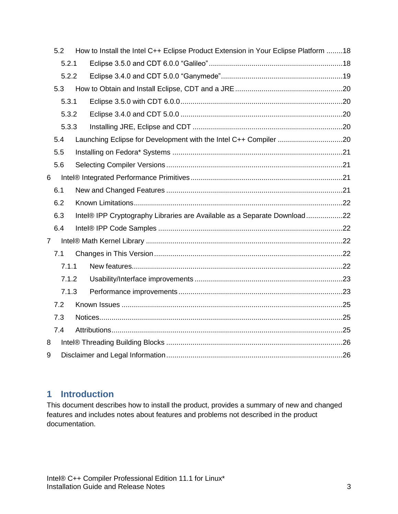|                | 5.2   |  | How to Install the Intel C++ Eclipse Product Extension in Your Eclipse Platform 18 |  |  |  |  |  |
|----------------|-------|--|------------------------------------------------------------------------------------|--|--|--|--|--|
|                | 5.2.1 |  |                                                                                    |  |  |  |  |  |
|                | 5.2.2 |  |                                                                                    |  |  |  |  |  |
|                | 5.3   |  |                                                                                    |  |  |  |  |  |
|                | 5.3.1 |  |                                                                                    |  |  |  |  |  |
|                | 5.3.2 |  |                                                                                    |  |  |  |  |  |
|                | 5.3.3 |  |                                                                                    |  |  |  |  |  |
|                | 5.4   |  | Launching Eclipse for Development with the Intel C++ Compiler 20                   |  |  |  |  |  |
|                | 5.5   |  |                                                                                    |  |  |  |  |  |
|                | 5.6   |  |                                                                                    |  |  |  |  |  |
| 6              |       |  |                                                                                    |  |  |  |  |  |
|                | 6.1   |  |                                                                                    |  |  |  |  |  |
|                | 6.2   |  |                                                                                    |  |  |  |  |  |
|                | 6.3   |  | Intel® IPP Cryptography Libraries are Available as a Separate Download22           |  |  |  |  |  |
|                | 6.4   |  |                                                                                    |  |  |  |  |  |
| $\overline{7}$ |       |  |                                                                                    |  |  |  |  |  |
|                | 7.1   |  |                                                                                    |  |  |  |  |  |
|                | 7.1.1 |  |                                                                                    |  |  |  |  |  |
|                | 7.1.2 |  |                                                                                    |  |  |  |  |  |
|                | 7.1.3 |  |                                                                                    |  |  |  |  |  |
|                | 7.2   |  |                                                                                    |  |  |  |  |  |
|                | 7.3   |  |                                                                                    |  |  |  |  |  |
|                | 7.4   |  |                                                                                    |  |  |  |  |  |
| 8              |       |  |                                                                                    |  |  |  |  |  |
| 9              |       |  |                                                                                    |  |  |  |  |  |

# <span id="page-2-0"></span>**1 Introduction**

This document describes how to install the product, provides a summary of new and changed features and includes notes about features and problems not described in the product documentation.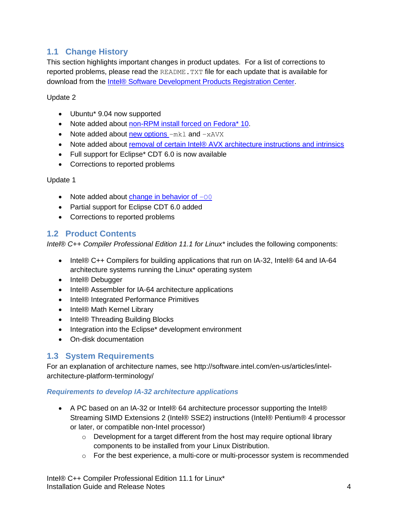# <span id="page-3-0"></span>**1.1 Change History**

This section highlights important changes in product updates. For a list of corrections to reported problems, please read the README. TXT file for each update that is available for download from the [Intel® Software Development Products Registration Center.](https://registrationcenter.intel.com/)

Update 2

- Ubuntu\* 9.04 now supported
- Note added about [non-RPM install forced on Fedora\\* 10.](#page-7-2)
- Note added about [new options](#page-10-3)  $-mk1$  and  $-xA VX$
- Note added about [removal of certain Intel® AVX architecture instructions and intrinsics](#page-13-2)
- Full support for Eclipse\* CDT 6.0 is now available
- Corrections to reported problems

Update 1

- Note added about [change in behavior of](#page-10-4)  $-00$
- Partial support for Eclipse CDT 6.0 added
- Corrections to reported problems

## <span id="page-3-1"></span>**1.2 Product Contents**

*Intel® C++ Compiler Professional Edition 11.1 for Linux\** includes the following components:

- Intel® C++ Compilers for building applications that run on IA-32, Intel® 64 and IA-64 architecture systems running the Linux\* operating system
- Intel® Debugger
- Intel® Assembler for IA-64 architecture applications
- Intel® Integrated Performance Primitives
- Intel® Math Kernel Library
- Intel® Threading Building Blocks
- Integration into the Eclipse\* development environment
- On-disk documentation

## <span id="page-3-2"></span>**1.3 System Requirements**

For an explanation of architecture names, see http://software.intel.com/en-us/articles/intelarchitecture-platform-terminology/

#### *Requirements to develop IA-32 architecture applications*

- A PC based on an IA-32 or Intel® 64 architecture processor supporting the Intel® Streaming SIMD Extensions 2 (Intel® SSE2) instructions (Intel® Pentium® 4 processor or later, or compatible non-Intel processor)
	- $\circ$  Development for a target different from the host may require optional library components to be installed from your Linux Distribution.
	- $\circ$  For the best experience, a multi-core or multi-processor system is recommended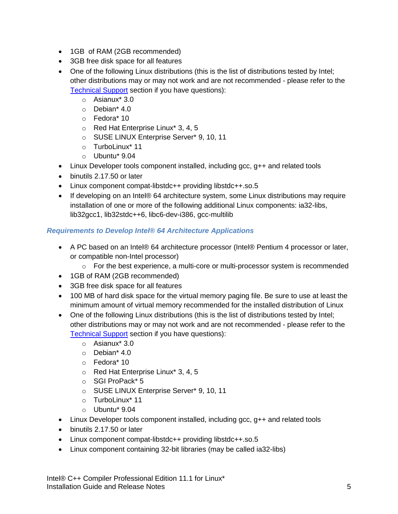- 1GB of RAM (2GB recommended)
- 3GB free disk space for all features
- One of the following Linux distributions (this is the list of distributions tested by Intel; other distributions may or may not work and are not recommended - please refer to the [Technical Support](#page-6-3) section if you have questions):
	- o Asianux\* 3.0
	- o Debian\* 4.0
	- o Fedora\* 10
	- o Red Hat Enterprise Linux\* 3, 4, 5
	- o SUSE LINUX Enterprise Server\* 9, 10, 11
	- o TurboLinux\* 11
	- o Ubuntu\* 9.04
- $\bullet$  Linux Developer tools component installed, including gcc,  $q++$  and related tools
- binutils 2.17.50 or later
- Linux component compat-libstdc++ providing libstdc++.so.5
- If developing on an Intel® 64 architecture system, some Linux distributions may require installation of one or more of the following additional Linux components: ia32-libs, lib32gcc1, lib32stdc++6, libc6-dev-i386, gcc-multilib

## *Requirements to Develop Intel® 64 Architecture Applications*

- A PC based on an Intel® 64 architecture processor (Intel® Pentium 4 processor or later, or compatible non-Intel processor)
	- $\circ$  For the best experience, a multi-core or multi-processor system is recommended
- 1GB of RAM (2GB recommended)
- 3GB free disk space for all features
- 100 MB of hard disk space for the virtual memory paging file. Be sure to use at least the minimum amount of virtual memory recommended for the installed distribution of Linux
- One of the following Linux distributions (this is the list of distributions tested by Intel; other distributions may or may not work and are not recommended - please refer to the [Technical Support](#page-6-3) section if you have questions):
	- o Asianux\* 3.0
	- o Debian\* 4.0
	- o Fedora\* 10
	- o Red Hat Enterprise Linux\* 3, 4, 5
	- o SGI ProPack\* 5
	- o SUSE LINUX Enterprise Server\* 9, 10, 11
	- o TurboLinux\* 11
	- o Ubuntu\* 9.04
- $\bullet$  Linux Developer tools component installed, including gcc,  $q++$  and related tools
- binutils 2.17.50 or later
- Linux component compat-libstdc++ providing libstdc++.so.5
- Linux component containing 32-bit libraries (may be called ia32-libs)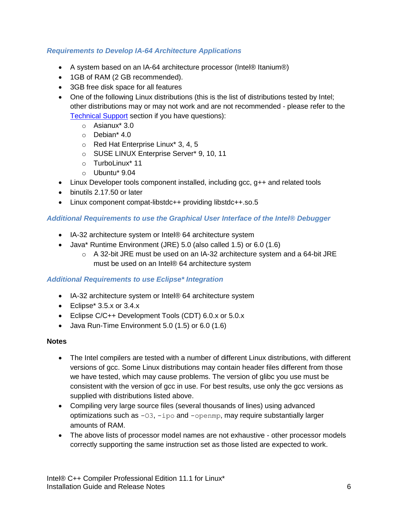#### *Requirements to Develop IA-64 Architecture Applications*

- A system based on an IA-64 architecture processor (Intel® Itanium®)
- 1GB of RAM (2 GB recommended).
- 3GB free disk space for all features
- One of the following Linux distributions (this is the list of distributions tested by Intel; other distributions may or may not work and are not recommended - please refer to the [Technical Support](#page-6-3) section if you have questions):
	- o Asianux\* 3.0
	- o Debian\* 4.0
	- o Red Hat Enterprise Linux\* 3, 4, 5
	- o SUSE LINUX Enterprise Server\* 9, 10, 11
	- o TurboLinux\* 11
	- o Ubuntu\* 9.04
- $\bullet$  Linux Developer tools component installed, including gcc,  $q++$  and related tools
- binutils 2.17.50 or later
- Linux component compat-libstdc++ providing libstdc++.so.5

#### *Additional Requirements to use the Graphical User Interface of the Intel® Debugger*

- IA-32 architecture system or Intel® 64 architecture system
- Java\* Runtime Environment (JRE) 5.0 (also called 1.5) or 6.0 (1.6)
	- $\circ$  A 32-bit JRE must be used on an IA-32 architecture system and a 64-bit JRE must be used on an Intel® 64 architecture system

#### *Additional Requirements to use Eclipse\* Integration*

- IA-32 architecture system or Intel® 64 architecture system
- $\bullet$  Eclipse\* 3.5.x or 3.4.x
- Eclipse C/C++ Development Tools (CDT) 6.0.x or 5.0.x
- $\bullet$  Java Run-Time Environment 5.0 (1.5) or 6.0 (1.6)

#### **Notes**

- The Intel compilers are tested with a number of different Linux distributions, with different versions of gcc. Some Linux distributions may contain header files different from those we have tested, which may cause problems. The version of glibc you use must be consistent with the version of gcc in use. For best results, use only the gcc versions as supplied with distributions listed above.
- Compiling very large source files (several thousands of lines) using advanced optimizations such as  $-03$ ,  $-1po$  and  $-open$ , may require substantially larger amounts of RAM.
- The above lists of processor model names are not exhaustive other processor models correctly supporting the same instruction set as those listed are expected to work.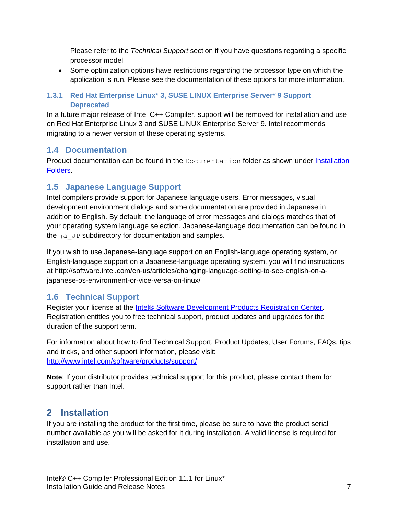Please refer to the *Technical Support* section if you have questions regarding a specific processor model

 Some optimization options have restrictions regarding the processor type on which the application is run. Please see the documentation of these options for more information.

## <span id="page-6-0"></span>**1.3.1 Red Hat Enterprise Linux\* 3, SUSE LINUX Enterprise Server\* 9 Support Deprecated**

In a future major release of Intel C++ Compiler, support will be removed for installation and use on Red Hat Enterprise Linux 3 and SUSE LINUX Enterprise Server 9. Intel recommends migrating to a newer version of these operating systems.

## <span id="page-6-1"></span>**1.4 Documentation**

Product documentation can be found in the Documentation folder as shown under Installation [Folders.](#page-8-0)

# <span id="page-6-2"></span>**1.5 Japanese Language Support**

Intel compilers provide support for Japanese language users. Error messages, visual development environment dialogs and some documentation are provided in Japanese in addition to English. By default, the language of error messages and dialogs matches that of your operating system language selection. Japanese-language documentation can be found in the ja\_JP subdirectory for documentation and samples.

If you wish to use Japanese-language support on an English-language operating system, or English-language support on a Japanese-language operating system, you will find instructions at http://software.intel.com/en-us/articles/changing-language-setting-to-see-english-on-ajapanese-os-environment-or-vice-versa-on-linux/

# <span id="page-6-3"></span>**1.6 Technical Support**

Register your license at the [Intel® Software Development Products Registration Center.](https://registrationcenter.intel.com/) Registration entitles you to free technical support, product updates and upgrades for the duration of the support term.

For information about how to find Technical Support, Product Updates, User Forums, FAQs, tips and tricks, and other support information, please visit: <http://www.intel.com/software/products/support/>

**Note**: If your distributor provides technical support for this product, please contact them for support rather than Intel.

# <span id="page-6-4"></span>**2 Installation**

If you are installing the product for the first time, please be sure to have the product serial number available as you will be asked for it during installation. A valid license is required for installation and use.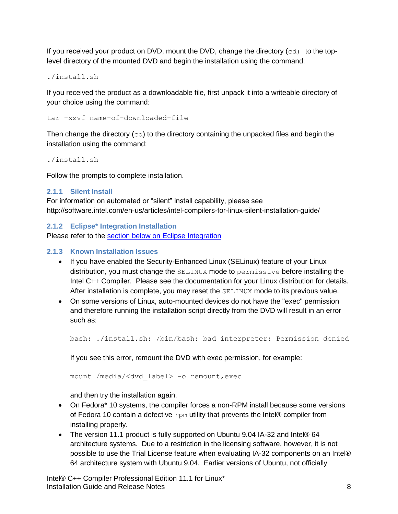If you received your product on DVD, mount the DVD, change the directory  $(cd)$  to the toplevel directory of the mounted DVD and begin the installation using the command:

./install.sh

If you received the product as a downloadable file, first unpack it into a writeable directory of your choice using the command:

tar –xzvf name-of-downloaded-file

Then change the directory  $(cd)$  to the directory containing the unpacked files and begin the installation using the command:

./install.sh

Follow the prompts to complete installation.

#### <span id="page-7-0"></span>**2.1.1 Silent Install**

For information on automated or "silent" install capability, please see http://software.intel.com/en-us/articles/intel-compilers-for-linux-silent-installation-guide/

<span id="page-7-1"></span>**2.1.2 Eclipse\* Integration Installation**

Please refer to the [section below on Eclipse Integration](#page-16-3)

#### <span id="page-7-2"></span>**2.1.3 Known Installation Issues**

- If you have enabled the Security-Enhanced Linux (SELinux) feature of your Linux distribution, you must change the SELINUX mode to permissive before installing the Intel C++ Compiler. Please see the documentation for your Linux distribution for details. After installation is complete, you may reset the SELINUX mode to its previous value.
- On some versions of Linux, auto-mounted devices do not have the "exec" permission and therefore running the installation script directly from the DVD will result in an error such as:

bash: ./install.sh: /bin/bash: bad interpreter: Permission denied

If you see this error, remount the DVD with exec permission, for example:

mount /media/<dvd\_label> -o remount,exec

and then try the installation again.

- On Fedora\* 10 systems, the compiler forces a non-RPM install because some versions of Fedora 10 contain a defective  $r_{\text{pm}}$  utility that prevents the Intel® compiler from installing properly.
- The version 11.1 product is fully supported on Ubuntu 9.04 IA-32 and Intel® 64 architecture systems. Due to a restriction in the licensing software, however, it is not possible to use the Trial License feature when evaluating IA-32 components on an Intel® 64 architecture system with Ubuntu 9.04*.* Earlier versions of Ubuntu, not officially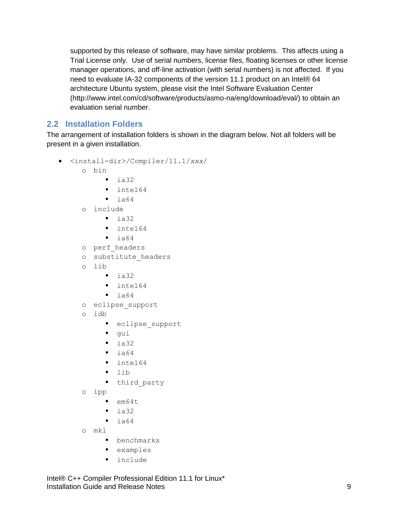supported by this release of software, may have similar problems. This affects using a Trial License only. Use of serial numbers, license files, floating licenses or other license manager operations, and off-line activation (with serial numbers) is not affected. If you need to evaluate IA-32 components of the version 11.1 product on an Intel® 64 architecture Ubuntu system, please visit the Intel Software Evaluation Center (http://www.intel.com/cd/software/products/asmo-na/eng/download/eval/) to obtain an evaluation serial number.

## <span id="page-8-0"></span>**2.2 Installation Folders**

The arrangement of installation folders is shown in the diagram below. Not all folders will be present in a given installation.

- <install-dir>/Compiler/11.1/*xxx*/
	- o bin
		- $\blacksquare$  ia32
		- lacksquare 164
		- $\blacksquare$  ia64
		- o include
			- $\blacksquare$  ia32
			- **·** intel64
			- $\blacksquare$  ia64
		- o perf\_headers
	- o substitute\_headers
	- o lib
		- $\blacksquare$  ia32
		- lacksquare 164
		- $\blacksquare$  ia64
	- o eclipse\_support
	- o idb
		- **•** eclipse support
		- qui
		- $\blacksquare$  ia32
		- $\blacksquare$  ia64
		- **I** intel64
		- $\blacksquare$  lib
		- **•** third party
	- o ipp
		- $=$  em64t
		- $\blacksquare$  ia32
		- $\blacksquare$  ia64
	- o mkl
		- **•** benchmarks
		- examples
		- **·** include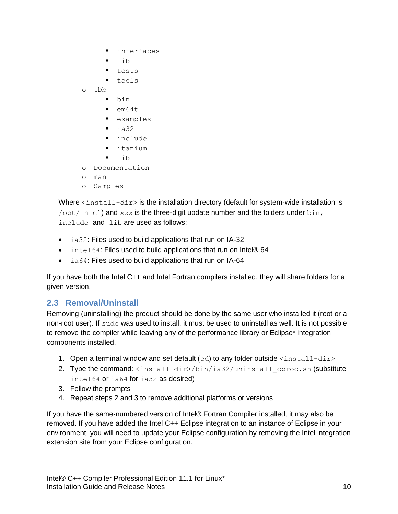- **·** interfaces
- $\blacksquare$  lib
- **tests**
- **tools**
- o tbb
	- bin
	- $=$  em64t
	- examples
	- $\blacksquare$  ia32
	- **·** include
	- $\blacksquare$  itanium
	- $\blacksquare$  lib
- o Documentation
- o man
- o Samples

Where  $\langle$ install-dir> is the installation directory (default for system-wide installation is /opt/intel) and *xxx* is the three-digit update number and the folders under bin, include and lib are used as follows:

- ia32: Files used to build applications that run on IA-32
- intel64: Files used to build applications that run on Intel® 64
- ia64: Files used to build applications that run on IA-64

If you have both the Intel C++ and Intel Fortran compilers installed, they will share folders for a given version.

## <span id="page-9-0"></span>**2.3 Removal/Uninstall**

Removing (uninstalling) the product should be done by the same user who installed it (root or a non-root user). If sudo was used to install, it must be used to uninstall as well. It is not possible to remove the compiler while leaving any of the performance library or Eclipse\* integration components installed.

- 1. Open a terminal window and set default  $(cd)$  to any folder outside  $\langle$ install-dir>
- 2. Type the command: <install-dir>/bin/ia32/uninstall\_cproc.sh (substitute intel64 or ia64 for ia32 as desired)
- 3. Follow the prompts
- 4. Repeat steps 2 and 3 to remove additional platforms or versions

If you have the same-numbered version of Intel® Fortran Compiler installed, it may also be removed. If you have added the Intel C++ Eclipse integration to an instance of Eclipse in your environment, you will need to update your Eclipse configuration by removing the Intel integration extension site from your Eclipse configuration.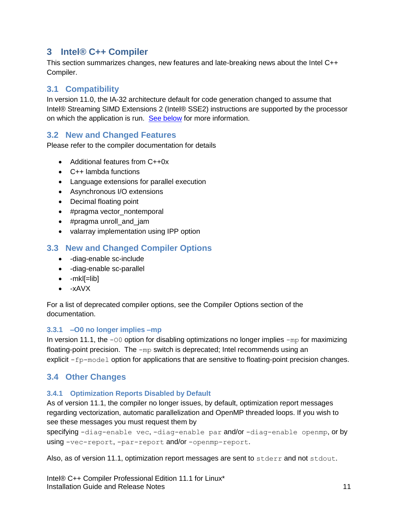# <span id="page-10-0"></span>**3 Intel® C++ Compiler**

This section summarizes changes, new features and late-breaking news about the Intel C++ Compiler.

# <span id="page-10-1"></span>**3.1 Compatibility**

In version 11.0, the IA-32 architecture default for code generation changed to assume that Intel® Streaming SIMD Extensions 2 (Intel® SSE2) instructions are supported by the processor on which the application is run. [See below](#page-11-1) for more information.

## <span id="page-10-2"></span>**3.2 New and Changed Features**

Please refer to the compiler documentation for details

- Additional features from C++0x
- C++ lambda functions
- Language extensions for parallel execution
- Asynchronous I/O extensions
- Decimal floating point
- #pragma vector\_nontemporal
- #pragma unroll\_and\_jam
- valarray implementation using IPP option

## <span id="page-10-3"></span>**3.3 New and Changed Compiler Options**

- -diag-enable sc-include
- -diag-enable sc-parallel
- $\bullet$  -mkl[=lib]
- $\bullet$  -xAVX

For a list of deprecated compiler options, see the Compiler Options section of the documentation.

#### <span id="page-10-4"></span>**3.3.1 –O0 no longer implies –mp**

In version 11.1, the  $-00$  option for disabling optimizations no longer implies  $-mp$  for maximizing floating-point precision. The -mp switch is deprecated; Intel recommends using an explicit  $-f_{p-model}$  option for applications that are sensitive to floating-point precision changes.

## <span id="page-10-5"></span>**3.4 Other Changes**

#### <span id="page-10-6"></span>**3.4.1 Optimization Reports Disabled by Default**

As of version 11.1, the compiler no longer issues, by default, optimization report messages regarding vectorization, automatic parallelization and OpenMP threaded loops. If you wish to see these messages you must request them by

specifying -diag-enable vec, -diag-enable par and/or -diag-enable openmp, or by using -vec-report, -par-report and/or -openmp-report.

Also, as of version 11.1, optimization report messages are sent to stderr and not stdout.

Intel® C++ Compiler Professional Edition 11.1 for Linux\* **Installation Guide and Release Notes 11 and 2008 12:00 12:00 12:00 12:00 14:00 14:00 14:00 14:00 14:00 14:00 14:00 14:00 14:00 14:00 14:00 14:00 14:00 14:00 14:00 14:00 14:00 14:00 14:00 14:00 14:00 14:00 14:00 14:00 14:0**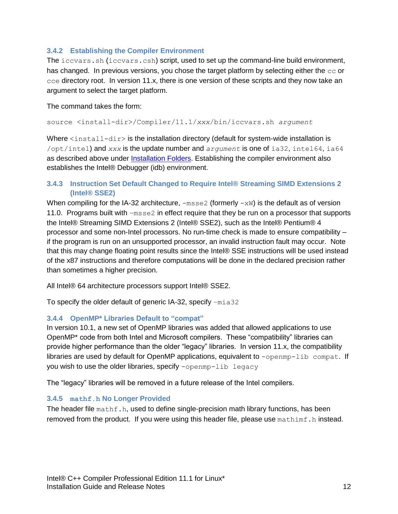#### <span id="page-11-0"></span>**3.4.2 Establishing the Compiler Environment**

The iccvars.sh (iccvars.csh) script, used to set up the command-line build environment, has changed. In previous versions, you chose the target platform by selecting either the  $cc$  or cce directory root. In version 11.x, there is one version of these scripts and they now take an argument to select the target platform.

The command takes the form:

source <install-dir>/Compiler/11.1/*xxx*/bin/iccvars.sh *argument*

Where <install-dir> is the installation directory (default for system-wide installation is /opt/intel) and *xxx* is the update number and *argument* is one of ia32, intel64, ia64 as described above under [Installation Folders.](#page-8-0) Establishing the compiler environment also establishes the Intel® Debugger (idb) environment.

#### <span id="page-11-1"></span>**3.4.3 Instruction Set Default Changed to Require Intel® Streaming SIMD Extensions 2 (Intel® SSE2)**

When compiling for the IA-32 architecture,  $-msse2$  (formerly  $-xw$ ) is the default as of version 11.0. Programs built with  $-msse2$  in effect require that they be run on a processor that supports the Intel® Streaming SIMD Extensions 2 (Intel® SSE2), such as the Intel® Pentium® 4 processor and some non-Intel processors. No run-time check is made to ensure compatibility – if the program is run on an unsupported processor, an invalid instruction fault may occur. Note that this may change floating point results since the Intel® SSE instructions will be used instead of the x87 instructions and therefore computations will be done in the declared precision rather than sometimes a higher precision.

All Intel® 64 architecture processors support Intel® SSE2.

To specify the older default of generic IA-32, specify –mia32

#### <span id="page-11-2"></span>**3.4.4 OpenMP\* Libraries Default to "compat"**

In version 10.1, a new set of OpenMP libraries was added that allowed applications to use OpenMP\* code from both Intel and Microsoft compilers. These "compatibility" libraries can provide higher performance than the older "legacy" libraries. In version 11.x, the compatibility libraries are used by default for OpenMP applications, equivalent to  $\text{-openmp-lib} \text{ compact. If}$ you wish to use the older libraries, specify -openmp-lib legacy

The "legacy" libraries will be removed in a future release of the Intel compilers.

#### <span id="page-11-3"></span>**3.4.5 mathf.h No Longer Provided**

The header file mathf.h, used to define single-precision math library functions, has been removed from the product. If you were using this header file, please use mathimf.h instead.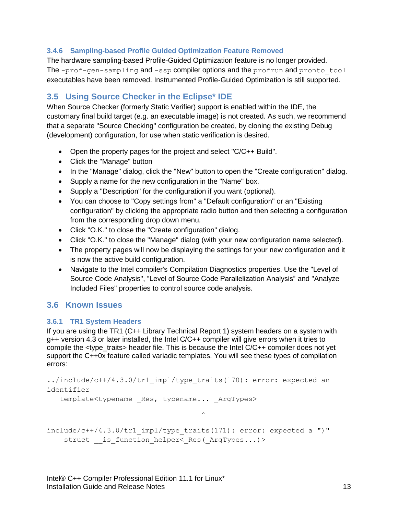#### <span id="page-12-0"></span>**3.4.6 Sampling-based Profile Guided Optimization Feature Removed**

The hardware sampling-based Profile-Guided Optimization feature is no longer provided. The -prof-gen-sampling and -ssp compiler options and the profrun and pronto tool executables have been removed. Instrumented Profile-Guided Optimization is still supported.

## <span id="page-12-1"></span>**3.5 Using Source Checker in the Eclipse\* IDE**

When Source Checker (formerly Static Verifier) support is enabled within the IDE, the customary final build target (e.g. an executable image) is not created. As such, we recommend that a separate "Source Checking" configuration be created, by cloning the existing Debug (development) configuration, for use when static verification is desired.

- Open the property pages for the project and select "C/C++ Build".
- Click the "Manage" button
- In the "Manage" dialog, click the "New" button to open the "Create configuration" dialog.
- Supply a name for the new configuration in the "Name" box.
- Supply a "Description" for the configuration if you want (optional).
- You can choose to "Copy settings from" a "Default configuration" or an "Existing configuration" by clicking the appropriate radio button and then selecting a configuration from the corresponding drop down menu.
- Click "O.K." to close the "Create configuration" dialog.
- Click "O.K." to close the "Manage" dialog (with your new configuration name selected).
- The property pages will now be displaying the settings for your new configuration and it is now the active build configuration.
- Navigate to the Intel compiler's Compilation Diagnostics properties. Use the "Level of Source Code Analysis", "Level of Source Code Parallelization Analysis" and "Analyze Included Files" properties to control source code analysis.

## <span id="page-12-2"></span>**3.6 Known Issues**

#### <span id="page-12-3"></span>**3.6.1 TR1 System Headers**

If you are using the TR1 (C++ Library Technical Report 1) system headers on a system with g++ version 4.3 or later installed, the Intel C/C++ compiler will give errors when it tries to compile the  $ltvpe$  traits> header file. This is because the Intel  $C/C++$  compiler does not yet support the C++0x feature called variadic templates. You will see these types of compilation errors:

```
../include/c++/4.3.0/tr1_impl/type_traits(170): error: expected an 
identifier
```

```
template<typename Res, typename... ArgTypes>
```

```
include/c++/4.3.0/tr1_impl/type_traits(171): error: expected a ")"
   struct __ is_function_helper<_ Res(_ArgTypes...)>
```
 $\wedge$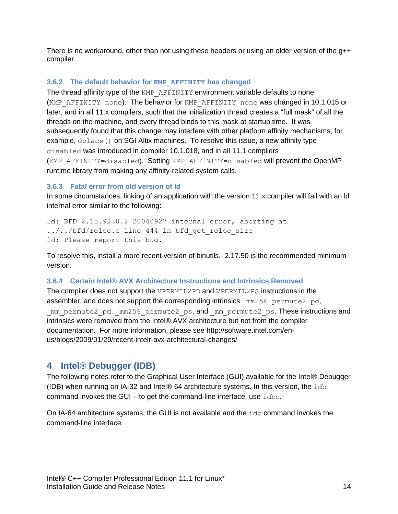There is no workaround, other than not using these headers or using an older version of the g++ compiler.

#### <span id="page-13-0"></span>**3.6.2 The default behavior for KMP\_AFFINITY has changed**

The thread affinity type of the KMP\_AFFINITY environment variable defaults to none (KMP\_AFFINITY=none). The behavior for KMP\_AFFINITY=none was changed in 10.1.015 or later, and in all 11.x compilers, such that the initialization thread creates a "full mask" of all the threads on the machine, and every thread binds to this mask at startup time. It was subsequently found that this change may interfere with other platform affinity mechanisms, for example, dplace() on SGI Altix machines. To resolve this issue, a new affinity type disabled was introduced in compiler 10.1.018, and in all 11.1 compilers (KMP\_AFFINITY=disabled). Setting KMP\_AFFINITY=disabled will prevent the OpenMP runtime library from making any affinity-related system calls.

#### <span id="page-13-1"></span>**3.6.3 Fatal error from old version of ld**

In some circumstances, linking of an application with the version 11.x compiler will fail with an Id internal error similar to the following:

ld: BFD 2.15.92.0.2 20040927 internal error, aborting at ../../bfd/reloc.c line 444 in bfd get reloc size ld: Please report this bug.

To resolve this, install a more recent version of binutils. 2.17.50 is the recommended minimum version.

#### <span id="page-13-2"></span>**3.6.4 Certain Intel® AVX Architecture Instructions and Intrinsics Removed**

The compiler does not support the VPERMIL2PD and VPERMIL2PS instructions in the assembler, and does not support the corresponding intrinsics  $mm256$  permute2 pd, mm\_permute2\_pd, mm256\_permute2\_ps, and \_mm\_permute2\_ps. These instructions and intrinsics were removed from the Intel® AVX architecture but not from the compiler documentation. For more information, please see http://software.intel.com/enus/blogs/2009/01/29/recent-intelr-avx-architectural-changes/

## <span id="page-13-3"></span>**4 Intel® Debugger (IDB)**

The following notes refer to the Graphical User Interface (GUI) available for the Intel® Debugger (IDB) when running on IA-32 and Intel® 64 architecture systems. In this version, the  $i$ db command invokes the GUI – to get the command-line interface, use  $\pm$ dbc.

On IA-64 architecture systems, the GUI is not available and the idb command invokes the command-line interface.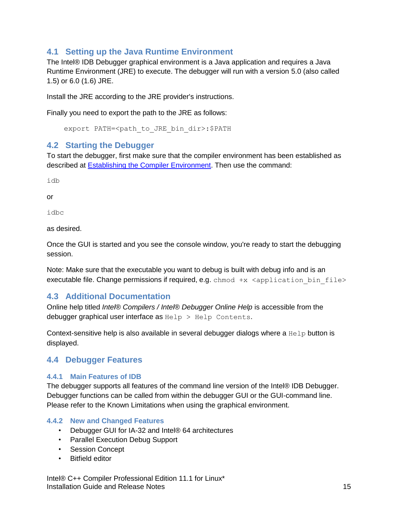## <span id="page-14-0"></span>**4.1 Setting up the Java Runtime Environment**

The Intel® IDB Debugger graphical environment is a Java application and requires a Java Runtime Environment (JRE) to execute. The debugger will run with a version 5.0 (also called 1.5) or 6.0 (1.6) JRE.

Install the JRE according to the JRE provider's instructions.

Finally you need to export the path to the JRE as follows:

export PATH=<path to JRE bin dir>:\$PATH

#### <span id="page-14-1"></span>**4.2 Starting the Debugger**

To start the debugger, first make sure that the compiler environment has been established as described at [Establishing the Compiler Environment.](#page-11-0) Then use the command:

idb

or

idbc

as desired.

Once the GUI is started and you see the console window, you're ready to start the debugging session.

Note: Make sure that the executable you want to debug is built with debug info and is an executable file. Change permissions if required, e.g. chmod  $+x$  <application bin file>

## <span id="page-14-2"></span>**4.3 Additional Documentation**

Online help titled *Intel® Compilers / Intel® Debugger Online Help* is accessible from the debugger graphical user interface as  $\text{He1p} > \text{He1p}$  Contents.

Context-sensitive help is also available in several debugger dialogs where a Help button is displayed.

## <span id="page-14-3"></span>**4.4 Debugger Features**

#### <span id="page-14-4"></span>**4.4.1 Main Features of IDB**

The debugger supports all features of the command line version of the Intel® IDB Debugger. Debugger functions can be called from within the debugger GUI or the GUI-command line. Please refer to the Known Limitations when using the graphical environment.

#### <span id="page-14-5"></span>**4.4.2 New and Changed Features**

- Debugger GUI for IA-32 and Intel® 64 architectures
- Parallel Execution Debug Support
- Session Concept
- Bitfield editor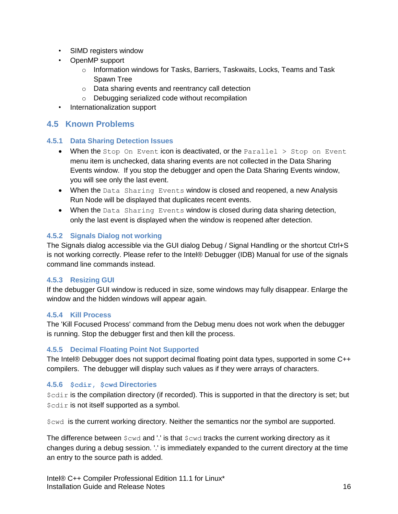- SIMD registers window
- OpenMP support
	- $\circ$  Information windows for Tasks, Barriers, Taskwaits, Locks, Teams and Task Spawn Tree
	- o Data sharing events and reentrancy call detection
	- o Debugging serialized code without recompilation
- Internationalization support

## <span id="page-15-0"></span>**4.5 Known Problems**

#### <span id="page-15-1"></span>**4.5.1 Data Sharing Detection Issues**

- When the Stop On Event icon is deactivated, or the Parallel  $>$  Stop on Event menu item is unchecked, data sharing events are not collected in the Data Sharing Events window. If you stop the debugger and open the Data Sharing Events window, you will see only the last event.
- When the Data Sharing Events window is closed and reopened, a new Analysis Run Node will be displayed that duplicates recent events.
- When the Data Sharing Events window is closed during data sharing detection, only the last event is displayed when the window is reopened after detection.

## <span id="page-15-2"></span>**4.5.2 Signals Dialog not working**

The Signals dialog accessible via the GUI dialog Debug / Signal Handling or the shortcut Ctrl+S is not working correctly. Please refer to the Intel® Debugger (IDB) Manual for use of the signals command line commands instead.

## <span id="page-15-3"></span>**4.5.3 Resizing GUI**

If the debugger GUI window is reduced in size, some windows may fully disappear. Enlarge the window and the hidden windows will appear again.

#### <span id="page-15-4"></span>**4.5.4 Kill Process**

The 'Kill Focused Process' command from the Debug menu does not work when the debugger is running. Stop the debugger first and then kill the process.

## <span id="page-15-5"></span>**4.5.5 Decimal Floating Point Not Supported**

The Intel® Debugger does not support decimal floating point data types, supported in some C++ compilers. The debugger will display such values as if they were arrays of characters.

## <span id="page-15-6"></span>**4.5.6 \$cdir, \$cwd Directories**

 $\dots$   $\dots$  is the compilation directory (if recorded). This is supported in that the directory is set; but \$cdir is not itself supported as a symbol.

\$cwd is the current working directory. Neither the semantics nor the symbol are supported.

The difference between  $\text{S}\text{cwd}$  and '.' is that  $\text{S}\text{cwd}$  tracks the current working directory as it changes during a debug session. '.' is immediately expanded to the current directory at the time an entry to the source path is added.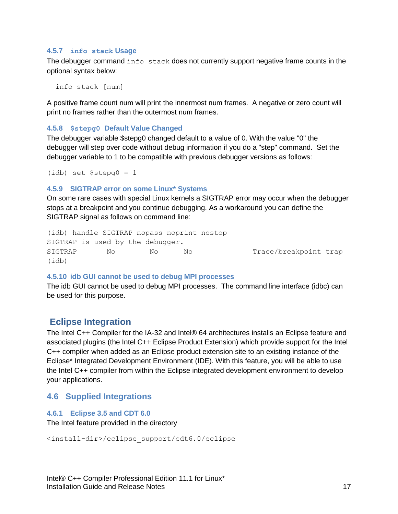#### <span id="page-16-0"></span>**4.5.7 info stack Usage**

The debugger command info stack does not currently support negative frame counts in the optional syntax below:

info stack [num]

A positive frame count num will print the innermost num frames. A negative or zero count will print no frames rather than the outermost num frames.

#### <span id="page-16-1"></span>**4.5.8 \$stepg0 Default Value Changed**

The debugger variable \$stepg0 changed default to a value of 0. With the value "0" the debugger will step over code without debug information if you do a "step" command. Set the debugger variable to 1 to be compatible with previous debugger versions as follows:

```
(idb) set $stepg0 = 1
```
#### <span id="page-16-2"></span>**4.5.9 SIGTRAP error on some Linux\* Systems**

On some rare cases with special Linux kernels a SIGTRAP error may occur when the debugger stops at a breakpoint and you continue debugging. As a workaround you can define the SIGTRAP signal as follows on command line:

```
(idb) handle SIGTRAP nopass noprint nostop
SIGTRAP is used by the debugger.
SIGTRAP No No No No Trace/breakpoint trap
(idb)
```
#### <span id="page-16-3"></span>**4.5.10 idb GUI cannot be used to debug MPI processes**

The idb GUI cannot be used to debug MPI processes. The command line interface (idbc) can be used for this purpose.

## **Eclipse Integration**

The Intel C++ Compiler for the IA-32 and Intel® 64 architectures installs an Eclipse feature and associated plugins (the Intel C++ Eclipse Product Extension) which provide support for the Intel C++ compiler when added as an Eclipse product extension site to an existing instance of the Eclipse\* Integrated Development Environment (IDE). With this feature, you will be able to use the Intel C++ compiler from within the Eclipse integrated development environment to develop your applications.

#### <span id="page-16-4"></span>**4.6 Supplied Integrations**

#### <span id="page-16-5"></span>**4.6.1 Eclipse 3.5 and CDT 6.0**

The Intel feature provided in the directory

```
<install-dir>/eclipse_support/cdt6.0/eclipse
```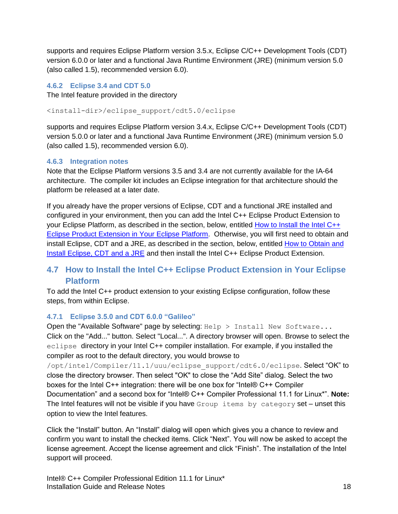supports and requires Eclipse Platform version 3.5.x, Eclipse C/C++ Development Tools (CDT) version 6.0.0 or later and a functional Java Runtime Environment (JRE) (minimum version 5.0 (also called 1.5), recommended version 6.0).

#### <span id="page-17-0"></span>**4.6.2 Eclipse 3.4 and CDT 5.0**

The Intel feature provided in the directory

<install-dir>/eclipse\_support/cdt5.0/eclipse

supports and requires Eclipse Platform version 3.4.x, Eclipse C/C++ Development Tools (CDT) version 5.0.0 or later and a functional Java Runtime Environment (JRE) (minimum version 5.0 (also called 1.5), recommended version 6.0).

#### <span id="page-17-1"></span>**4.6.3 Integration notes**

Note that the Eclipse Platform versions 3.5 and 3.4 are not currently available for the IA-64 architecture. The compiler kit includes an Eclipse integration for that architecture should the platform be released at a later date.

If you already have the proper versions of Eclipse, CDT and a functional JRE installed and configured in your environment, then you can add the Intel C++ Eclipse Product Extension to your Eclipse Platform, as described in the section, below, entitled How to Install the Intel C++ [Eclipse Product Extension in Your Eclipse Platform.](#page-17-2) Otherwise, you will first need to obtain and install Eclipse, CDT and a JRE, as described in the section, below, entitled [How to Obtain and](#page-19-0)  [Install Eclipse, CDT and a JRE](#page-19-0) and then install the Intel C++ Eclipse Product Extension.

## <span id="page-17-2"></span>**4.7 How to Install the Intel C++ Eclipse Product Extension in Your Eclipse Platform**

To add the Intel C++ product extension to your existing Eclipse configuration, follow these steps, from within Eclipse.

#### <span id="page-17-3"></span>**4.7.1 Eclipse 3.5.0 and CDT 6.0.0 "Galileo"**

Open the "Available Software" page by selecting:  $H \in \mathbb{R}^p$  > Install New Software... Click on the "Add..." button. Select "Local...". A directory browser will open. Browse to select the eclipse directory in your Intel C++ compiler installation. For example, if you installed the compiler as root to the default directory, you would browse to

/opt/intel/Compiler/11.1/uuu/eclipse\_support/cdt6.0/eclipse. Select "OK" to close the directory browser. Then select "OK" to close the "Add Site" dialog. Select the two boxes for the Intel C++ integration: there will be one box for "Intel® C++ Compiler Documentation" and a second box for "Intel® C++ Compiler Professional 11.1 for Linux\*". **Note:** The Intel features will not be visible if you have  $Group$  items by category set – unset this option to view the Intel features.

Click the "Install" button. An "Install" dialog will open which gives you a chance to review and confirm you want to install the checked items. Click "Next". You will now be asked to accept the license agreement. Accept the license agreement and click "Finish". The installation of the Intel support will proceed.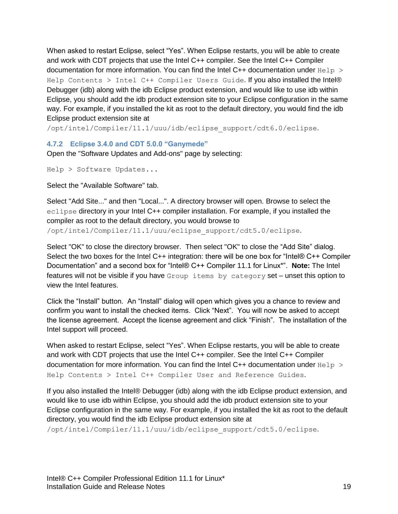When asked to restart Eclipse, select "Yes". When Eclipse restarts, you will be able to create and work with CDT projects that use the Intel C++ compiler. See the Intel C++ Compiler documentation for more information. You can find the Intel C++ documentation under  $He1p >$ Help Contents > Intel C++ Compiler Users Guide. If you also installed the Intel® Debugger (idb) along with the idb Eclipse product extension, and would like to use idb within Eclipse, you should add the idb product extension site to your Eclipse configuration in the same way. For example, if you installed the kit as root to the default directory, you would find the idb Eclipse product extension site at

/opt/intel/Compiler/11.1/uuu/idb/eclipse\_support/cdt6.0/eclipse.

#### <span id="page-18-0"></span>**4.7.2 Eclipse 3.4.0 and CDT 5.0.0 "Ganymede"**

Open the "Software Updates and Add-ons" page by selecting:

Help > Software Updates...

Select the "Available Software" tab.

Select "Add Site..." and then "Local...". A directory browser will open. Browse to select the eclipse directory in your Intel C++ compiler installation. For example, if you installed the compiler as root to the default directory, you would browse to

/opt/intel/Compiler/11.1/uuu/eclipse\_support/cdt5.0/eclipse.

Select "OK" to close the directory browser. Then select "OK" to close the "Add Site" dialog. Select the two boxes for the Intel C++ integration: there will be one box for "Intel® C++ Compiler Documentation" and a second box for "Intel® C++ Compiler 11.1 for Linux\*". **Note:** The Intel features will not be visible if you have Group items by category set – unset this option to view the Intel features.

Click the "Install" button. An "Install" dialog will open which gives you a chance to review and confirm you want to install the checked items. Click "Next". You will now be asked to accept the license agreement. Accept the license agreement and click "Finish". The installation of the Intel support will proceed.

When asked to restart Eclipse, select "Yes". When Eclipse restarts, you will be able to create and work with CDT projects that use the Intel C++ compiler. See the Intel C++ Compiler documentation for more information. You can find the Intel C++ documentation under  $He1p >$ Help Contents > Intel C++ Compiler User and Reference Guides.

If you also installed the Intel® Debugger (idb) along with the idb Eclipse product extension, and would like to use idb within Eclipse, you should add the idb product extension site to your Eclipse configuration in the same way. For example, if you installed the kit as root to the default directory, you would find the idb Eclipse product extension site at /opt/intel/Compiler/11.1/uuu/idb/eclipse\_support/cdt5.0/eclipse.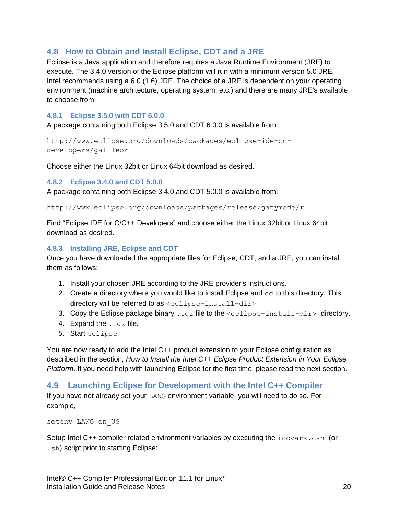## <span id="page-19-0"></span>**4.8 How to Obtain and Install Eclipse, CDT and a JRE**

Eclipse is a Java application and therefore requires a Java Runtime Environment (JRE) to execute. The 3.4.0 version of the Eclipse platform will run with a minimum version 5.0 JRE. Intel recommends using a 6.0 (1.6) JRE. The choice of a JRE is dependent on your operating environment (machine architecture, operating system, etc.) and there are many JRE's available to choose from.

#### <span id="page-19-1"></span>**4.8.1 Eclipse 3.5.0 with CDT 6.0.0**

A package containing both Eclipse 3.5.0 and CDT 6.0.0 is available from:

```
http://www.eclipse.org/downloads/packages/eclipse-ide-cc-
developers/galileor
```
Choose either the Linux 32bit or Linux 64bit download as desired.

#### <span id="page-19-2"></span>**4.8.2 Eclipse 3.4.0 and CDT 5.0.0**

A package containing both Eclipse 3.4.0 and CDT 5.0.0 is available from:

http://www.eclipse.org/downloads/packages/release/ganymede/r

Find "Eclipse IDE for C/C++ Developers" and choose either the Linux 32bit or Linux 64bit download as desired.

#### <span id="page-19-3"></span>**4.8.3 Installing JRE, Eclipse and CDT**

Once you have downloaded the appropriate files for Eclipse, CDT, and a JRE, you can install them as follows:

- 1. Install your chosen JRE according to the JRE provider's instructions.
- 2. Create a directory where you would like to install Eclipse and  $cd$  to this directory. This directory will be referred to as <eclipse-install-dir>
- 3. Copy the Eclipse package binary .  $tqz$  file to the  $\leq$  eclipse-install-dir> directory.
- 4. Expand the .tgz file.
- 5. Start eclipse

You are now ready to add the Intel C++ product extension to your Eclipse configuration as described in the section, *How to Install the Intel C++ Eclipse Product Extension in Your Eclipse Platform*. If you need help with launching Eclipse for the first time, please read the next section.

#### <span id="page-19-4"></span>**4.9 Launching Eclipse for Development with the Intel C++ Compiler**

If you have not already set your LANG environment variable, you will need to do so. For example,

setenv LANG en\_US

Setup Intel C++ compiler related environment variables by executing the iccvars.csh (or .sh) script prior to starting Eclipse: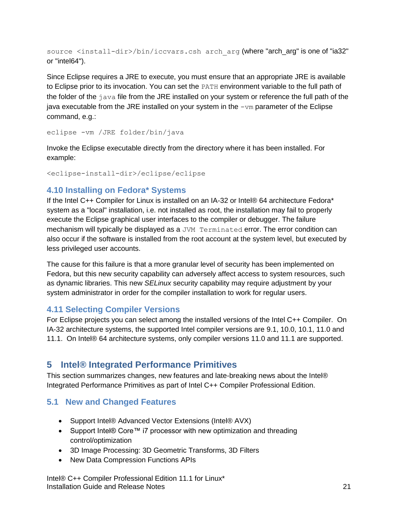source <install-dir>/bin/iccvars.csh arch arg (where "arch arg" is one of "ia32" or "intel64").

Since Eclipse requires a JRE to execute, you must ensure that an appropriate JRE is available to Eclipse prior to its invocation. You can set the PATH environment variable to the full path of the folder of the java file from the JRE installed on your system or reference the full path of the java executable from the JRE installed on your system in the -vm parameter of the Eclipse command, e.g.:

eclipse -vm /JRE folder/bin/java

Invoke the Eclipse executable directly from the directory where it has been installed. For example:

<eclipse-install-dir>/eclipse/eclipse

## <span id="page-20-0"></span>**4.10 Installing on Fedora\* Systems**

If the Intel C++ Compiler for Linux is installed on an IA-32 or Intel® 64 architecture Fedora\* system as a "local" installation, i.e. not installed as root, the installation may fail to properly execute the Eclipse graphical user interfaces to the compiler or debugger. The failure mechanism will typically be displayed as a JVM Terminated error. The error condition can also occur if the software is installed from the root account at the system level, but executed by less privileged user accounts.

The cause for this failure is that a more granular level of security has been implemented on Fedora, but this new security capability can adversely affect access to system resources, such as dynamic libraries. This new *SELinux* security capability may require adjustment by your system administrator in order for the compiler installation to work for regular users.

## <span id="page-20-1"></span>**4.11 Selecting Compiler Versions**

For Eclipse projects you can select among the installed versions of the Intel C++ Compiler. On IA-32 architecture systems, the supported Intel compiler versions are 9.1, 10.0, 10.1, 11.0 and 11.1. On Intel® 64 architecture systems, only compiler versions 11.0 and 11.1 are supported.

# <span id="page-20-2"></span>**5 Intel® Integrated Performance Primitives**

This section summarizes changes, new features and late-breaking news about the Intel® Integrated Performance Primitives as part of Intel C++ Compiler Professional Edition.

# <span id="page-20-3"></span>**5.1 New and Changed Features**

- Support Intel® Advanced Vector Extensions (Intel® AVX)
- Support Intel® Core™ i7 processor with new optimization and threading control/optimization
- 3D Image Processing: 3D Geometric Transforms, 3D Filters
- New Data Compression Functions APIs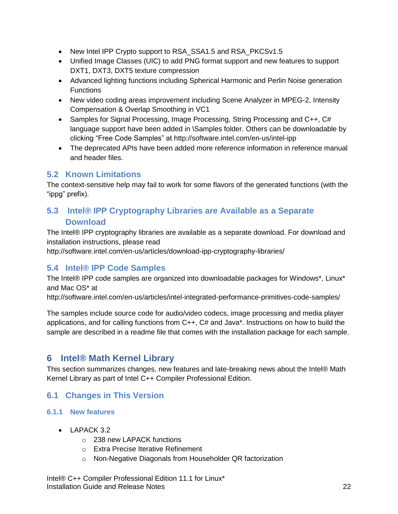- New Intel IPP Crypto support to RSA\_SSA1.5 and RSA\_PKCSv1.5
- Unified Image Classes (UIC) to add PNG format support and new features to support DXT1, DXT3, DXT5 texture compression
- Advanced lighting functions including Spherical Harmonic and Perlin Noise generation **Functions**
- New video coding areas improvement including Scene Analyzer in MPEG-2, Intensity Compensation & Overlap Smoothing in VC1
- Samples for Signal Processing, Image Processing, String Processing and C++, C# language support have been added in \Samples folder. Others can be downloadable by clicking "Free Code Samples" at http://software.intel.com/en-us/intel-ipp
- The deprecated APIs have been added more reference information in reference manual and header files.

## <span id="page-21-0"></span>**5.2 Known Limitations**

The context-sensitive help may fail to work for some flavors of the generated functions (with the "ippg" prefix).

## <span id="page-21-1"></span>**5.3 Intel® IPP Cryptography Libraries are Available as a Separate Download**

The Intel® IPP cryptography libraries are available as a separate download. For download and installation instructions, please read

http://software.intel.com/en-us/articles/download-ipp-cryptography-libraries/

## <span id="page-21-2"></span>**5.4 Intel® IPP Code Samples**

The Intel® IPP code samples are organized into downloadable packages for Windows\*, Linux\* and Mac OS\* at

http://software.intel.com/en-us/articles/intel-integrated-performance-primitives-code-samples/

The samples include source code for audio/video codecs, image processing and media player applications, and for calling functions from C++, C# and Java\*. Instructions on how to build the sample are described in a readme file that comes with the installation package for each sample.

# <span id="page-21-3"></span>**6 Intel® Math Kernel Library**

This section summarizes changes, new features and late-breaking news about the Intel® Math Kernel Library as part of Intel C++ Compiler Professional Edition.

## <span id="page-21-4"></span>**6.1 Changes in This Version**

#### <span id="page-21-5"></span>**6.1.1 New features**

- LAPACK 3.2
	- o 238 new LAPACK functions
	- o Extra Precise Iterative Refinement
	- o Non-Negative Diagonals from Householder QR factorization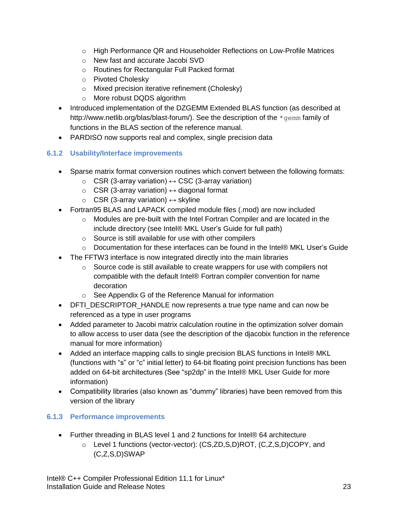- o High Performance QR and Householder Reflections on Low-Profile Matrices
- o New fast and accurate Jacobi SVD
- o Routines for Rectangular Full Packed format
- o Pivoted Cholesky
- o Mixed precision iterative refinement (Cholesky)
- o More robust DQDS algorithm
- Introduced implementation of the DZGEMM Extended BLAS function (as described at http://www.netlib.org/blas/blast-forum/). See the description of the \*gemm family of functions in the BLAS section of the reference manual.
- PARDISO now supports real and complex, single precision data

## <span id="page-22-0"></span>**6.1.2 Usability/Interface improvements**

- Sparse matrix format conversion routines which convert between the following formats:
	- $\circ$  CSR (3-array variation)  $\leftrightarrow$  CSC (3-array variation)
	- $\circ$  CSR (3-array variation)  $\leftrightarrow$  diagonal format
	- $\circ$  CSR (3-array variation)  $\leftrightarrow$  skyline
- Fortran95 BLAS and LAPACK compiled module files (.mod) are now included
	- $\circ$  Modules are pre-built with the Intel Fortran Compiler and are located in the include directory (see Intel® MKL User's Guide for full path)
	- o Source is still available for use with other compilers
	- $\circ$  Documentation for these interfaces can be found in the Intel® MKL User's Guide
- The FFTW3 interface is now integrated directly into the main libraries
	- $\circ$  Source code is still available to create wrappers for use with compilers not compatible with the default Intel® Fortran compiler convention for name decoration
	- o See Appendix G of the Reference Manual for information
- DFTI\_DESCRIPTOR\_HANDLE now represents a true type name and can now be referenced as a type in user programs
- Added parameter to Jacobi matrix calculation routine in the optimization solver domain to allow access to user data (see the description of the djacobix function in the reference manual for more information)
- Added an interface mapping calls to single precision BLAS functions in Intel® MKL (functions with "s" or "c" initial letter) to 64-bit floating point precision functions has been added on 64-bit architectures (See "sp2dp" in the Intel® MKL User Guide for more information)
- Compatibility libraries (also known as "dummy" libraries) have been removed from this version of the library

## <span id="page-22-1"></span>**6.1.3 Performance improvements**

- Further threading in BLAS level 1 and 2 functions for Intel® 64 architecture
	- o Level 1 functions (vector-vector): (CS,ZD,S,D)ROT, (C,Z,S,D)COPY, and (C,Z,S,D)SWAP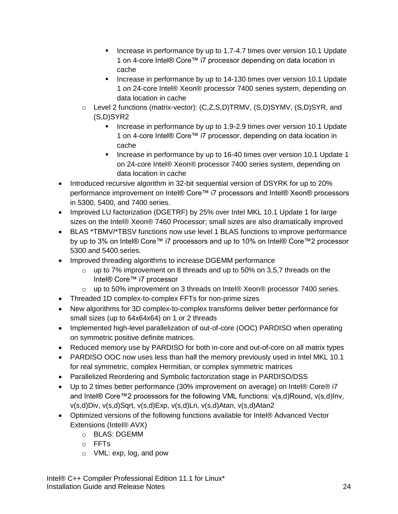- Increase in performance by up to 1.7-4.7 times over version 10.1 Update 1 on 4-core Intel® Core™ i7 processor depending on data location in cache
- Increase in performance by up to 14-130 times over version 10.1 Update 1 on 24-core Intel® Xeon® processor 7400 series system, depending on data location in cache
- o Level 2 functions (matrix-vector): (C,Z,S,D)TRMV, (S,D)SYMV, (S,D)SYR, and (S,D)SYR2
	- Increase in performance by up to 1.9-2.9 times over version 10.1 Update 1 on 4-core Intel® Core™ i7 processor, depending on data location in cache
	- Increase in performance by up to 16-40 times over version 10.1 Update 1 on 24-core Intel® Xeon® processor 7400 series system, depending on data location in cache
- Introduced recursive algorithm in 32-bit sequential version of DSYRK for up to 20% performance improvement on Intel® Core™ i7 processors and Intel® Xeon® processors in 5300, 5400, and 7400 series.
- Improved LU factorization (DGETRF) by 25% over Intel MKL 10.1 Update 1 for large sizes on the Intel® Xeon® 7460 Processor; small sizes are also dramatically improved
- BLAS \*TBMV/\*TBSV functions now use level 1 BLAS functions to improve performance by up to 3% on Intel® Core™ i7 processors and up to 10% on Intel® Core™2 processor 5300 and 5400 series.
- Improved threading algorithms to increase DGEMM performance
	- $\circ$  up to 7% improvement on 8 threads and up to 50% on 3,5,7 threads on the Intel® Core™ i7 processor
	- o up to 50% improvement on 3 threads on Intel® Xeon® processor 7400 series.
- Threaded 1D complex-to-complex FFTs for non-prime sizes
- New algorithms for 3D complex-to-complex transforms deliver better performance for small sizes (up to 64x64x64) on 1 or 2 threads
- Implemented high-level parallelization of out-of-core (OOC) PARDISO when operating on symmetric positive definite matrices.
- Reduced memory use by PARDISO for both in-core and out-of-core on all matrix types
- PARDISO OOC now uses less than half the memory previously used in Intel MKL 10.1 for real symmetric, complex Hermitian, or complex symmetric matrices
- Parallelized Reordering and Symbolic factorization stage in PARDISO/DSS
- Up to 2 times better performance (30% improvement on average) on Intel® Core® i7 and Intel® Core™2 processors for the following VML functions: v(s,d)Round, v(s,d)Inv, v(s,d)Div, v(s,d)Sqrt, v(s,d)Exp, v(s,d)Ln, v(s,d)Atan, v(s,d)Atan2
- Optimized versions of the following functions available for Intel® Advanced Vector Extensions (Intel® AVX)
	- o BLAS: DGEMM
	- o FFTs
	- o VML: exp, log, and pow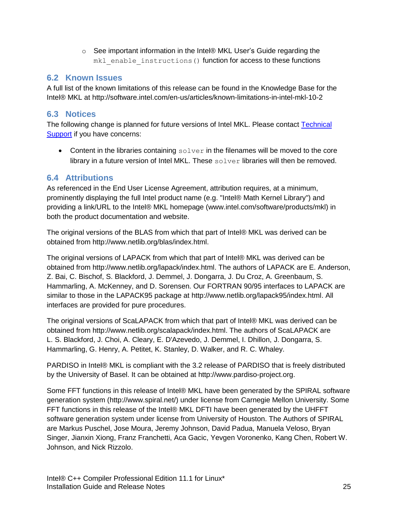$\circ$  See important information in the Intel® MKL User's Guide regarding the mkl enable instructions() function for access to these functions

## <span id="page-24-0"></span>**6.2 Known Issues**

A full list of the known limitations of this release can be found in the Knowledge Base for the Intel® MKL at http://software.intel.com/en-us/articles/known-limitations-in-intel-mkl-10-2

## <span id="page-24-1"></span>**6.3 Notices**

The following change is planned for future versions of Intel MKL. Please contact [Technical](#page-6-3)  [Support](#page-6-3) if you have concerns:

• Content in the libraries containing  $\text{solver}$  in the filenames will be moved to the core library in a future version of Intel MKL. These  $\text{solver}$  libraries will then be removed.

## <span id="page-24-2"></span>**6.4 Attributions**

As referenced in the End User License Agreement, attribution requires, at a minimum, prominently displaying the full Intel product name (e.g. "Intel® Math Kernel Library") and providing a link/URL to the Intel® MKL homepage (www.intel.com/software/products/mkl) in both the product documentation and website.

The original versions of the BLAS from which that part of Intel® MKL was derived can be obtained from http://www.netlib.org/blas/index.html.

The original versions of LAPACK from which that part of Intel® MKL was derived can be obtained from http://www.netlib.org/lapack/index.html. The authors of LAPACK are E. Anderson, Z. Bai, C. Bischof, S. Blackford, J. Demmel, J. Dongarra, J. Du Croz, A. Greenbaum, S. Hammarling, A. McKenney, and D. Sorensen. Our FORTRAN 90/95 interfaces to LAPACK are similar to those in the LAPACK95 package at http://www.netlib.org/lapack95/index.html. All interfaces are provided for pure procedures.

The original versions of ScaLAPACK from which that part of Intel® MKL was derived can be obtained from http://www.netlib.org/scalapack/index.html. The authors of ScaLAPACK are L. S. Blackford, J. Choi, A. Cleary, E. D'Azevedo, J. Demmel, I. Dhillon, J. Dongarra, S. Hammarling, G. Henry, A. Petitet, K. Stanley, D. Walker, and R. C. Whaley.

PARDISO in Intel® MKL is compliant with the 3.2 release of PARDISO that is freely distributed by the University of Basel. It can be obtained at http://www.pardiso-project.org.

Some FFT functions in this release of Intel® MKL have been generated by the SPIRAL software generation system (http://www.spiral.net/) under license from Carnegie Mellon University. Some FFT functions in this release of the Intel® MKL DFTI have been generated by the UHFFT software generation system under license from University of Houston. The Authors of SPIRAL are Markus Puschel, Jose Moura, Jeremy Johnson, David Padua, Manuela Veloso, Bryan Singer, Jianxin Xiong, Franz Franchetti, Aca Gacic, Yevgen Voronenko, Kang Chen, Robert W. Johnson, and Nick Rizzolo.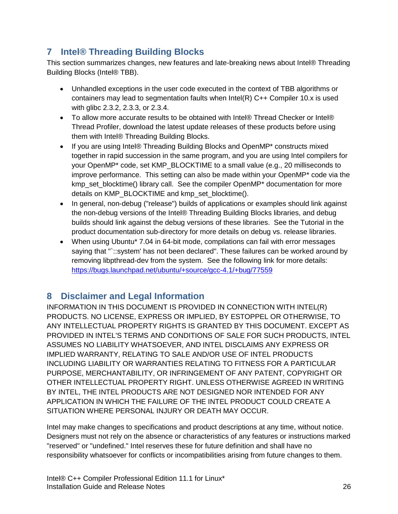# <span id="page-25-0"></span>**7 Intel® Threading Building Blocks**

This section summarizes changes, new features and late-breaking news about Intel® Threading Building Blocks (Intel® TBB).

- Unhandled exceptions in the user code executed in the context of TBB algorithms or containers may lead to segmentation faults when Intel(R) C++ Compiler 10.x is used with glibc 2.3.2, 2.3.3, or 2.3.4.
- To allow more accurate results to be obtained with Intel® Thread Checker or Intel® Thread Profiler, download the latest update releases of these products before using them with Intel® Threading Building Blocks.
- If you are using Intel® Threading Building Blocks and OpenMP<sup>\*</sup> constructs mixed together in rapid succession in the same program, and you are using Intel compilers for your OpenMP\* code, set KMP\_BLOCKTIME to a small value (e.g., 20 milliseconds to improve performance. This setting can also be made within your OpenMP\* code via the kmp\_set\_blocktime() library call. See the compiler OpenMP\* documentation for more details on KMP\_BLOCKTIME and kmp\_set\_blocktime().
- In general, non-debug ("release") builds of applications or examples should link against the non-debug versions of the Intel® Threading Building Blocks libraries, and debug builds should link against the debug versions of these libraries. See the Tutorial in the product documentation sub-directory for more details on debug vs. release libraries.
- When using Ubuntu\* 7.04 in 64-bit mode, compilations can fail with error messages saying that "`::system' has not been declared". These failures can be worked around by removing libpthread-dev from the system. See the following link for more details: <https://bugs.launchpad.net/ubuntu/+source/gcc-4.1/+bug/77559>

# <span id="page-25-1"></span>**8 Disclaimer and Legal Information**

INFORMATION IN THIS DOCUMENT IS PROVIDED IN CONNECTION WITH INTEL(R) PRODUCTS. NO LICENSE, EXPRESS OR IMPLIED, BY ESTOPPEL OR OTHERWISE, TO ANY INTELLECTUAL PROPERTY RIGHTS IS GRANTED BY THIS DOCUMENT. EXCEPT AS PROVIDED IN INTEL'S TERMS AND CONDITIONS OF SALE FOR SUCH PRODUCTS, INTEL ASSUMES NO LIABILITY WHATSOEVER, AND INTEL DISCLAIMS ANY EXPRESS OR IMPLIED WARRANTY, RELATING TO SALE AND/OR USE OF INTEL PRODUCTS INCLUDING LIABILITY OR WARRANTIES RELATING TO FITNESS FOR A PARTICULAR PURPOSE, MERCHANTABILITY, OR INFRINGEMENT OF ANY PATENT, COPYRIGHT OR OTHER INTELLECTUAL PROPERTY RIGHT. UNLESS OTHERWISE AGREED IN WRITING BY INTEL, THE INTEL PRODUCTS ARE NOT DESIGNED NOR INTENDED FOR ANY APPLICATION IN WHICH THE FAILURE OF THE INTEL PRODUCT COULD CREATE A SITUATION WHERE PERSONAL INJURY OR DEATH MAY OCCUR.

Intel may make changes to specifications and product descriptions at any time, without notice. Designers must not rely on the absence or characteristics of any features or instructions marked "reserved" or "undefined." Intel reserves these for future definition and shall have no responsibility whatsoever for conflicts or incompatibilities arising from future changes to them.